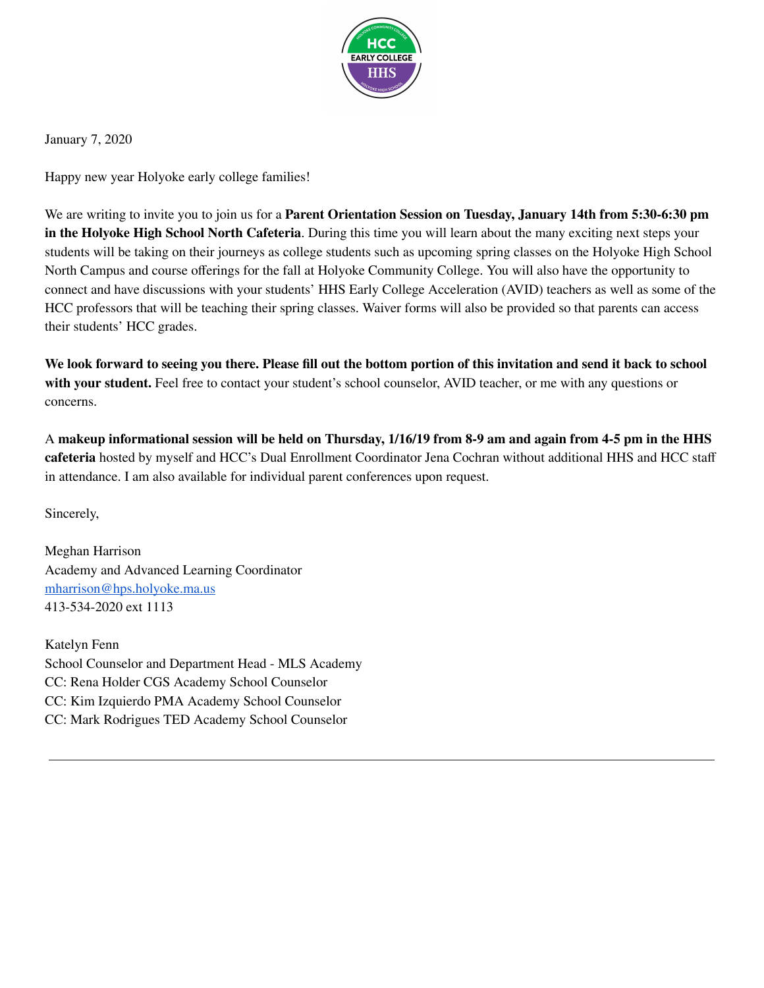

January 7, 2020

Happy new year Holyoke early college families!

We are writing to invite you to join us for a **Parent Orientation Session on Tuesday, January 14th from 5:30-6:30 pm in the Holyoke High School North Cafeteria**. During this time you will learn about the many exciting next steps your students will be taking on their journeys as college students such as upcoming spring classes on the Holyoke High School North Campus and course offerings for the fall at Holyoke Community College. You will also have the opportunity to connect and have discussions with your students' HHS Early College Acceleration (AVID) teachers as well as some of the HCC professors that will be teaching their spring classes. Waiver forms will also be provided so that parents can access their students' HCC grades.

We look forward to seeing you there. Please fill out the bottom portion of this invitation and send it back to school **with your student.** Feel free to contact your student's school counselor, AVID teacher, or me with any questions or concerns.

A makeup informational session will be held on Thursday, 1/16/19 from 8-9 am and again from 4-5 pm in the HHS **cafeteria** hosted by myself and HCC's Dual Enrollment Coordinator Jena Cochran without additional HHS and HCC staff in attendance. I am also available for individual parent conferences upon request.

Sincerely,

Meghan Harrison Academy and Advanced Learning Coordinator [mharrison@hps.holyoke.ma.us](mailto:mharrison@hps.holyoke.ma.us) 413-534-2020 ext 1113

Katelyn Fenn School Counselor and Department Head - MLS Academy CC: Rena Holder CGS Academy School Counselor CC: Kim Izquierdo PMA Academy School Counselor CC: Mark Rodrigues TED Academy School Counselor